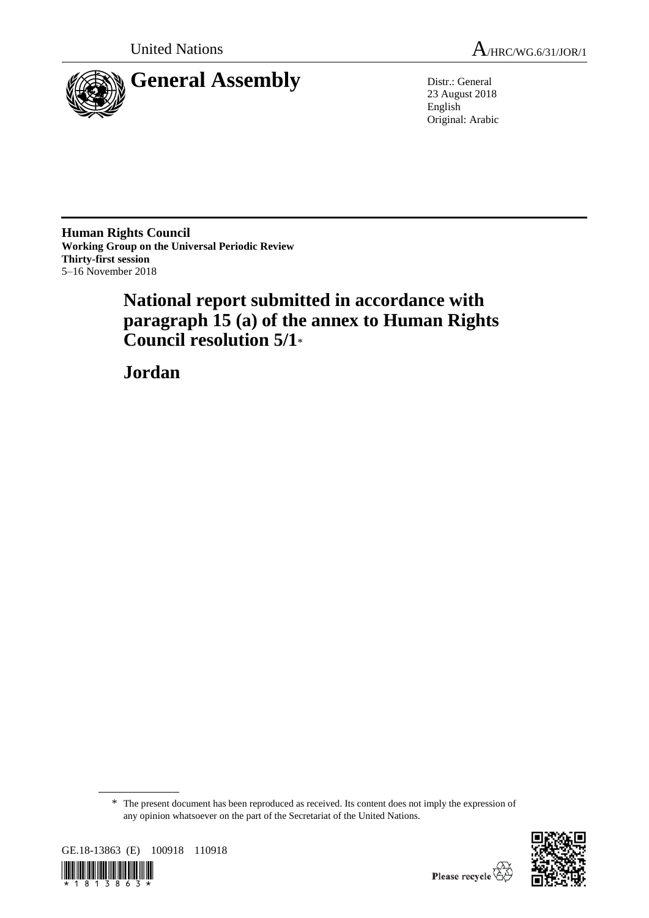

23 August 2018 English Original: Arabic

**Human Rights Council Working Group on the Universal Periodic Review Thirty-first session** 5–16 November 2018

# **National report submitted in accordance with paragraph 15 (a) of the annex to Human Rights Council resolution 5/1**\*

**Jordan**

<sup>\*</sup> The present document has been reproduced as received. Its content does not imply the expression of any opinion whatsoever on the part of the Secretariat of the United Nations.



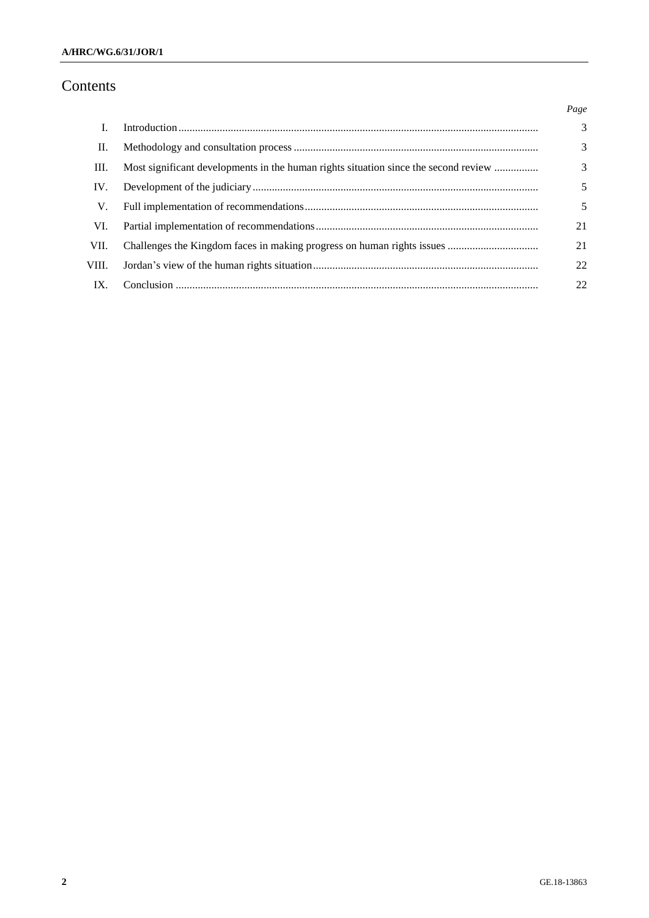# Contents

|       |                                                                                     | Page           |
|-------|-------------------------------------------------------------------------------------|----------------|
| L     |                                                                                     | $\overline{3}$ |
| П.    |                                                                                     | 3              |
| Ш.    | Most significant developments in the human rights situation since the second review | $\mathcal{F}$  |
| IV.   |                                                                                     | 5              |
| V.    |                                                                                     | 5              |
| VI.   |                                                                                     | 21             |
| VII.  |                                                                                     | 21             |
| VIII. |                                                                                     | 22             |
| IX.   |                                                                                     | 22             |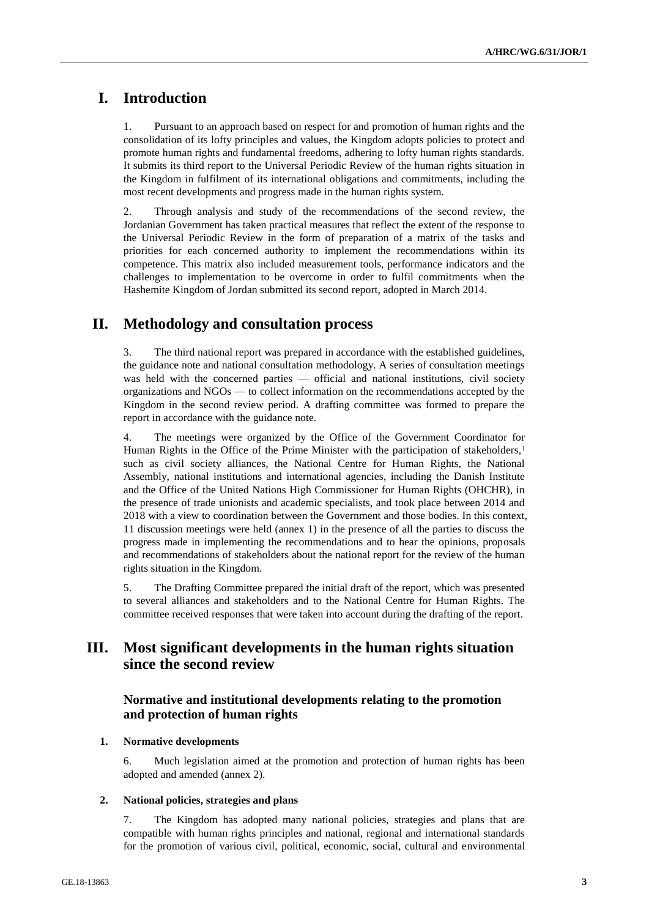# **I. Introduction**

1. Pursuant to an approach based on respect for and promotion of human rights and the consolidation of its lofty principles and values, the Kingdom adopts policies to protect and promote human rights and fundamental freedoms, adhering to lofty human rights standards. It submits its third report to the Universal Periodic Review of the human rights situation in the Kingdom in fulfilment of its international obligations and commitments, including the most recent developments and progress made in the human rights system.

2. Through analysis and study of the recommendations of the second review, the Jordanian Government has taken practical measures that reflect the extent of the response to the Universal Periodic Review in the form of preparation of a matrix of the tasks and priorities for each concerned authority to implement the recommendations within its competence. This matrix also included measurement tools, performance indicators and the challenges to implementation to be overcome in order to fulfil commitments when the Hashemite Kingdom of Jordan submitted its second report, adopted in March 2014.

# **II. Methodology and consultation process**

3. The third national report was prepared in accordance with the established guidelines, the guidance note and national consultation methodology. A series of consultation meetings was held with the concerned parties — official and national institutions, civil society organizations and NGOs — to collect information on the recommendations accepted by the Kingdom in the second review period. A drafting committee was formed to prepare the report in accordance with the guidance note.

4. The meetings were organized by the Office of the Government Coordinator for Human Rights in the Office of the Prime Minister with the participation of stakeholders,<sup>1</sup> such as civil society alliances, the National Centre for Human Rights, the National Assembly, national institutions and international agencies, including the Danish Institute and the Office of the United Nations High Commissioner for Human Rights (OHCHR), in the presence of trade unionists and academic specialists, and took place between 2014 and 2018 with a view to coordination between the Government and those bodies. In this context, 11 discussion meetings were held (annex 1) in the presence of all the parties to discuss the progress made in implementing the recommendations and to hear the opinions, proposals and recommendations of stakeholders about the national report for the review of the human rights situation in the Kingdom.

5. The Drafting Committee prepared the initial draft of the report, which was presented to several alliances and stakeholders and to the National Centre for Human Rights. The committee received responses that were taken into account during the drafting of the report.

# **III. Most significant developments in the human rights situation since the second review**

# **Normative and institutional developments relating to the promotion and protection of human rights**

# **1. Normative developments**

6. Much legislation aimed at the promotion and protection of human rights has been adopted and amended (annex 2).

### **2. National policies, strategies and plans**

7. The Kingdom has adopted many national policies, strategies and plans that are compatible with human rights principles and national, regional and international standards for the promotion of various civil, political, economic, social, cultural and environmental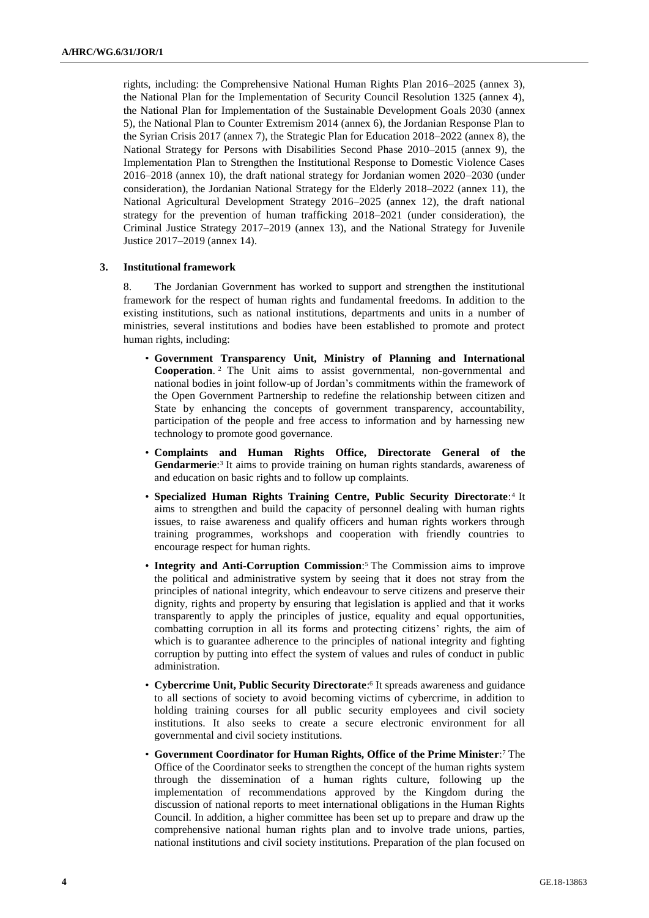rights, including: the Comprehensive National Human Rights Plan 2016–2025 (annex 3), the National Plan for the Implementation of Security Council Resolution 1325 (annex 4), the National Plan for Implementation of the Sustainable Development Goals 2030 (annex 5), the National Plan to Counter Extremism 2014 (annex 6), the Jordanian Response Plan to the Syrian Crisis 2017 (annex 7), the Strategic Plan for Education 2018–2022 (annex 8), the National Strategy for Persons with Disabilities Second Phase 2010–2015 (annex 9), the Implementation Plan to Strengthen the Institutional Response to Domestic Violence Cases 2016–2018 (annex 10), the draft national strategy for Jordanian women 2020–2030 (under consideration), the Jordanian National Strategy for the Elderly 2018–2022 (annex 11), the National Agricultural Development Strategy 2016–2025 (annex 12), the draft national strategy for the prevention of human trafficking 2018–2021 (under consideration), the Criminal Justice Strategy 2017–2019 (annex 13), and the National Strategy for Juvenile Justice 2017–2019 (annex 14).

# **3. Institutional framework**

8. The Jordanian Government has worked to support and strengthen the institutional framework for the respect of human rights and fundamental freedoms. In addition to the existing institutions, such as national institutions, departments and units in a number of ministries, several institutions and bodies have been established to promote and protect human rights, including:

- **Government Transparency Unit, Ministry of Planning and International Cooperation**. <sup>2</sup> The Unit aims to assist governmental, non-governmental and national bodies in joint follow-up of Jordan's commitments within the framework of the Open Government Partnership to redefine the relationship between citizen and State by enhancing the concepts of government transparency, accountability, participation of the people and free access to information and by harnessing new technology to promote good governance.
- **Complaints and Human Rights Office, Directorate General of the**  Gendarmerie:<sup>3</sup> It aims to provide training on human rights standards, awareness of and education on basic rights and to follow up complaints.
- **Specialized Human Rights Training Centre, Public Security Directorate:**<sup>4</sup> It aims to strengthen and build the capacity of personnel dealing with human rights issues, to raise awareness and qualify officers and human rights workers through training programmes, workshops and cooperation with friendly countries to encourage respect for human rights.
- **Integrity and Anti-Corruption Commission**: <sup>5</sup> The Commission aims to improve the political and administrative system by seeing that it does not stray from the principles of national integrity, which endeavour to serve citizens and preserve their dignity, rights and property by ensuring that legislation is applied and that it works transparently to apply the principles of justice, equality and equal opportunities, combatting corruption in all its forms and protecting citizens' rights, the aim of which is to guarantee adherence to the principles of national integrity and fighting corruption by putting into effect the system of values and rules of conduct in public administration.
- **Cybercrime Unit, Public Security Directorate**: 6 It spreads awareness and guidance to all sections of society to avoid becoming victims of cybercrime, in addition to holding training courses for all public security employees and civil society institutions. It also seeks to create a secure electronic environment for all governmental and civil society institutions.
- **Government Coordinator for Human Rights, Office of the Prime Minister**: <sup>7</sup> The Office of the Coordinator seeks to strengthen the concept of the human rights system through the dissemination of a human rights culture, following up the implementation of recommendations approved by the Kingdom during the discussion of national reports to meet international obligations in the Human Rights Council. In addition, a higher committee has been set up to prepare and draw up the comprehensive national human rights plan and to involve trade unions, parties, national institutions and civil society institutions. Preparation of the plan focused on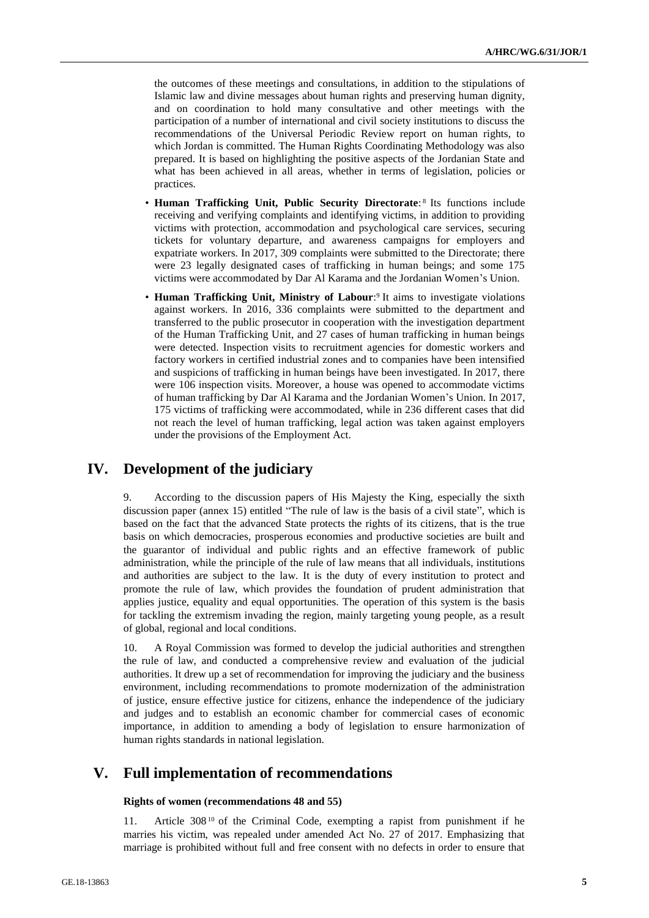the outcomes of these meetings and consultations, in addition to the stipulations of Islamic law and divine messages about human rights and preserving human dignity, and on coordination to hold many consultative and other meetings with the participation of a number of international and civil society institutions to discuss the recommendations of the Universal Periodic Review report on human rights, to which Jordan is committed. The Human Rights Coordinating Methodology was also prepared. It is based on highlighting the positive aspects of the Jordanian State and what has been achieved in all areas, whether in terms of legislation, policies or practices.

- Human Trafficking Unit, Public Security Directorate:<sup>8</sup> Its functions include receiving and verifying complaints and identifying victims, in addition to providing victims with protection, accommodation and psychological care services, securing tickets for voluntary departure, and awareness campaigns for employers and expatriate workers. In 2017, 309 complaints were submitted to the Directorate; there were 23 legally designated cases of trafficking in human beings; and some 175 victims were accommodated by Dar Al Karama and the Jordanian Women's Union.
- Human Trafficking Unit, Ministry of Labour:<sup>9</sup> It aims to investigate violations against workers. In 2016, 336 complaints were submitted to the department and transferred to the public prosecutor in cooperation with the investigation department of the Human Trafficking Unit, and 27 cases of human trafficking in human beings were detected. Inspection visits to recruitment agencies for domestic workers and factory workers in certified industrial zones and to companies have been intensified and suspicions of trafficking in human beings have been investigated. In 2017, there were 106 inspection visits. Moreover, a house was opened to accommodate victims of human trafficking by Dar Al Karama and the Jordanian Women's Union. In 2017, 175 victims of trafficking were accommodated, while in 236 different cases that did not reach the level of human trafficking, legal action was taken against employers under the provisions of the Employment Act.

# **IV. Development of the judiciary**

9. According to the discussion papers of His Majesty the King, especially the sixth discussion paper (annex 15) entitled "The rule of law is the basis of a civil state", which is based on the fact that the advanced State protects the rights of its citizens, that is the true basis on which democracies, prosperous economies and productive societies are built and the guarantor of individual and public rights and an effective framework of public administration, while the principle of the rule of law means that all individuals, institutions and authorities are subject to the law. It is the duty of every institution to protect and promote the rule of law, which provides the foundation of prudent administration that applies justice, equality and equal opportunities. The operation of this system is the basis for tackling the extremism invading the region, mainly targeting young people, as a result of global, regional and local conditions.

10. A Royal Commission was formed to develop the judicial authorities and strengthen the rule of law, and conducted a comprehensive review and evaluation of the judicial authorities. It drew up a set of recommendation for improving the judiciary and the business environment, including recommendations to promote modernization of the administration of justice, ensure effective justice for citizens, enhance the independence of the judiciary and judges and to establish an economic chamber for commercial cases of economic importance, in addition to amending a body of legislation to ensure harmonization of human rights standards in national legislation.

# **V. Full implementation of recommendations**

### **Rights of women (recommendations 48 and 55)**

11. Article 308 <sup>10</sup> of the Criminal Code, exempting a rapist from punishment if he marries his victim, was repealed under amended Act No. 27 of 2017. Emphasizing that marriage is prohibited without full and free consent with no defects in order to ensure that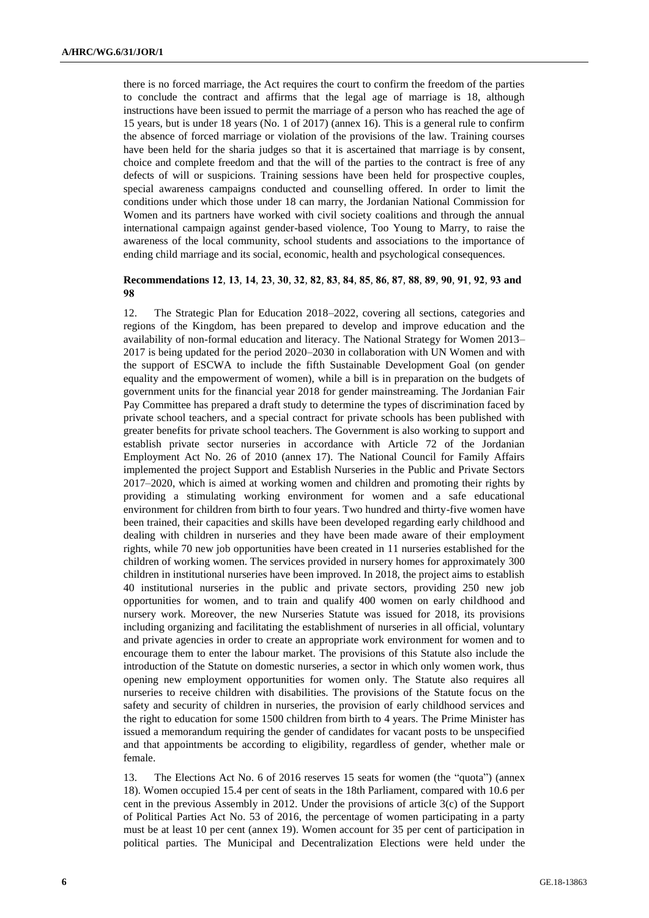there is no forced marriage, the Act requires the court to confirm the freedom of the parties to conclude the contract and affirms that the legal age of marriage is 18, although instructions have been issued to permit the marriage of a person who has reached the age of 15 years, but is under 18 years (No. 1 of 2017) (annex 16). This is a general rule to confirm the absence of forced marriage or violation of the provisions of the law. Training courses have been held for the sharia judges so that it is ascertained that marriage is by consent, choice and complete freedom and that the will of the parties to the contract is free of any defects of will or suspicions. Training sessions have been held for prospective couples, special awareness campaigns conducted and counselling offered. In order to limit the conditions under which those under 18 can marry, the Jordanian National Commission for Women and its partners have worked with civil society coalitions and through the annual international campaign against gender-based violence, Too Young to Marry, to raise the awareness of the local community, school students and associations to the importance of ending child marriage and its social, economic, health and psychological consequences.

# **Recommendations 12**, **13**, **14**, **23**, **30**, **32**, **82**, **83**, **84**, **85**, **86**, **87**, **88**, **89**, **90**, **91**, **92**, **93 and 98**

12. The Strategic Plan for Education 2018–2022, covering all sections, categories and regions of the Kingdom, has been prepared to develop and improve education and the availability of non-formal education and literacy. The National Strategy for Women 2013– 2017 is being updated for the period 2020–2030 in collaboration with UN Women and with the support of ESCWA to include the fifth Sustainable Development Goal (on gender equality and the empowerment of women), while a bill is in preparation on the budgets of government units for the financial year 2018 for gender mainstreaming. The Jordanian Fair Pay Committee has prepared a draft study to determine the types of discrimination faced by private school teachers, and a special contract for private schools has been published with greater benefits for private school teachers. The Government is also working to support and establish private sector nurseries in accordance with Article 72 of the Jordanian Employment Act No. 26 of 2010 (annex 17). The National Council for Family Affairs implemented the project Support and Establish Nurseries in the Public and Private Sectors 2017–2020, which is aimed at working women and children and promoting their rights by providing a stimulating working environment for women and a safe educational environment for children from birth to four years. Two hundred and thirty-five women have been trained, their capacities and skills have been developed regarding early childhood and dealing with children in nurseries and they have been made aware of their employment rights, while 70 new job opportunities have been created in 11 nurseries established for the children of working women. The services provided in nursery homes for approximately 300 children in institutional nurseries have been improved. In 2018, the project aims to establish 40 institutional nurseries in the public and private sectors, providing 250 new job opportunities for women, and to train and qualify 400 women on early childhood and nursery work. Moreover, the new Nurseries Statute was issued for 2018, its provisions including organizing and facilitating the establishment of nurseries in all official, voluntary and private agencies in order to create an appropriate work environment for women and to encourage them to enter the labour market. The provisions of this Statute also include the introduction of the Statute on domestic nurseries, a sector in which only women work, thus opening new employment opportunities for women only. The Statute also requires all nurseries to receive children with disabilities. The provisions of the Statute focus on the safety and security of children in nurseries, the provision of early childhood services and the right to education for some 1500 children from birth to 4 years. The Prime Minister has issued a memorandum requiring the gender of candidates for vacant posts to be unspecified and that appointments be according to eligibility, regardless of gender, whether male or female.

13. The Elections Act No. 6 of 2016 reserves 15 seats for women (the "quota") (annex 18). Women occupied 15.4 per cent of seats in the 18th Parliament, compared with 10.6 per cent in the previous Assembly in 2012. Under the provisions of article 3(c) of the Support of Political Parties Act No. 53 of 2016, the percentage of women participating in a party must be at least 10 per cent (annex 19). Women account for 35 per cent of participation in political parties. The Municipal and Decentralization Elections were held under the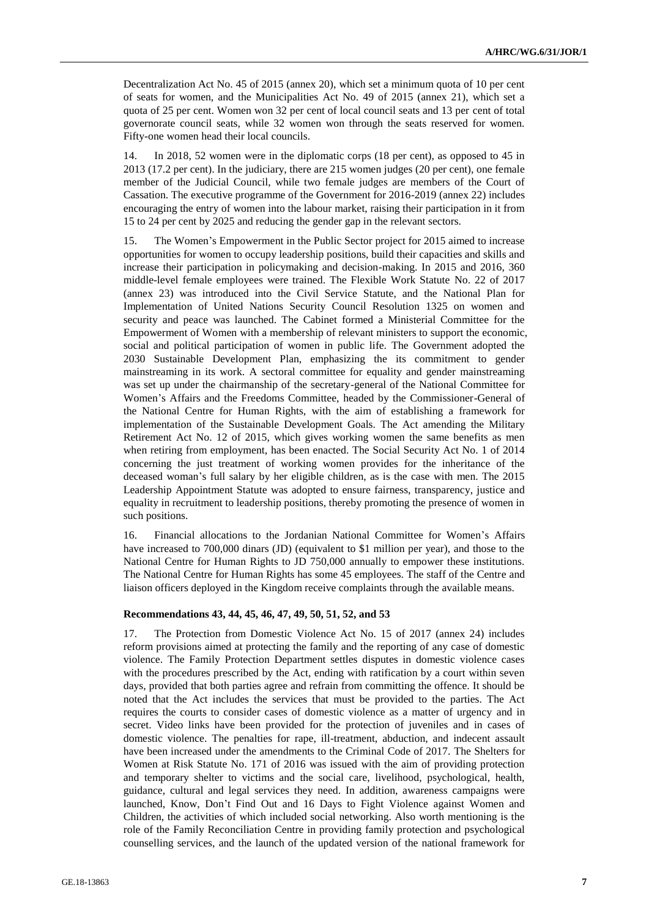Decentralization Act No. 45 of 2015 (annex 20), which set a minimum quota of 10 per cent of seats for women, and the Municipalities Act No. 49 of 2015 (annex 21), which set a quota of 25 per cent. Women won 32 per cent of local council seats and 13 per cent of total governorate council seats, while 32 women won through the seats reserved for women. Fifty-one women head their local councils.

14. In 2018, 52 women were in the diplomatic corps (18 per cent), as opposed to 45 in 2013 (17.2 per cent). In the judiciary, there are 215 women judges (20 per cent), one female member of the Judicial Council, while two female judges are members of the Court of Cassation. The executive programme of the Government for 2016-2019 (annex 22) includes encouraging the entry of women into the labour market, raising their participation in it from 15 to 24 per cent by 2025 and reducing the gender gap in the relevant sectors.

15. The Women's Empowerment in the Public Sector project for 2015 aimed to increase opportunities for women to occupy leadership positions, build their capacities and skills and increase their participation in policymaking and decision-making. In 2015 and 2016, 360 middle-level female employees were trained. The Flexible Work Statute No. 22 of 2017 (annex 23) was introduced into the Civil Service Statute, and the National Plan for Implementation of United Nations Security Council Resolution 1325 on women and security and peace was launched. The Cabinet formed a Ministerial Committee for the Empowerment of Women with a membership of relevant ministers to support the economic, social and political participation of women in public life. The Government adopted the 2030 Sustainable Development Plan, emphasizing the its commitment to gender mainstreaming in its work. A sectoral committee for equality and gender mainstreaming was set up under the chairmanship of the secretary-general of the National Committee for Women's Affairs and the Freedoms Committee, headed by the Commissioner-General of the National Centre for Human Rights, with the aim of establishing a framework for implementation of the Sustainable Development Goals. The Act amending the Military Retirement Act No. 12 of 2015, which gives working women the same benefits as men when retiring from employment, has been enacted. The Social Security Act No. 1 of 2014 concerning the just treatment of working women provides for the inheritance of the deceased woman's full salary by her eligible children, as is the case with men. The 2015 Leadership Appointment Statute was adopted to ensure fairness, transparency, justice and equality in recruitment to leadership positions, thereby promoting the presence of women in such positions.

16. Financial allocations to the Jordanian National Committee for Women's Affairs have increased to 700,000 dinars (JD) (equivalent to \$1 million per year), and those to the National Centre for Human Rights to JD 750,000 annually to empower these institutions. The National Centre for Human Rights has some 45 employees. The staff of the Centre and liaison officers deployed in the Kingdom receive complaints through the available means.

#### **Recommendations 43, 44, 45, 46, 47, 49, 50, 51, 52, and 53**

17. The Protection from Domestic Violence Act No. 15 of 2017 (annex 24) includes reform provisions aimed at protecting the family and the reporting of any case of domestic violence. The Family Protection Department settles disputes in domestic violence cases with the procedures prescribed by the Act, ending with ratification by a court within seven days, provided that both parties agree and refrain from committing the offence. It should be noted that the Act includes the services that must be provided to the parties. The Act requires the courts to consider cases of domestic violence as a matter of urgency and in secret. Video links have been provided for the protection of juveniles and in cases of domestic violence. The penalties for rape, ill-treatment, abduction, and indecent assault have been increased under the amendments to the Criminal Code of 2017. The Shelters for Women at Risk Statute No. 171 of 2016 was issued with the aim of providing protection and temporary shelter to victims and the social care, livelihood, psychological, health, guidance, cultural and legal services they need. In addition, awareness campaigns were launched, Know, Don't Find Out and 16 Days to Fight Violence against Women and Children, the activities of which included social networking. Also worth mentioning is the role of the Family Reconciliation Centre in providing family protection and psychological counselling services, and the launch of the updated version of the national framework for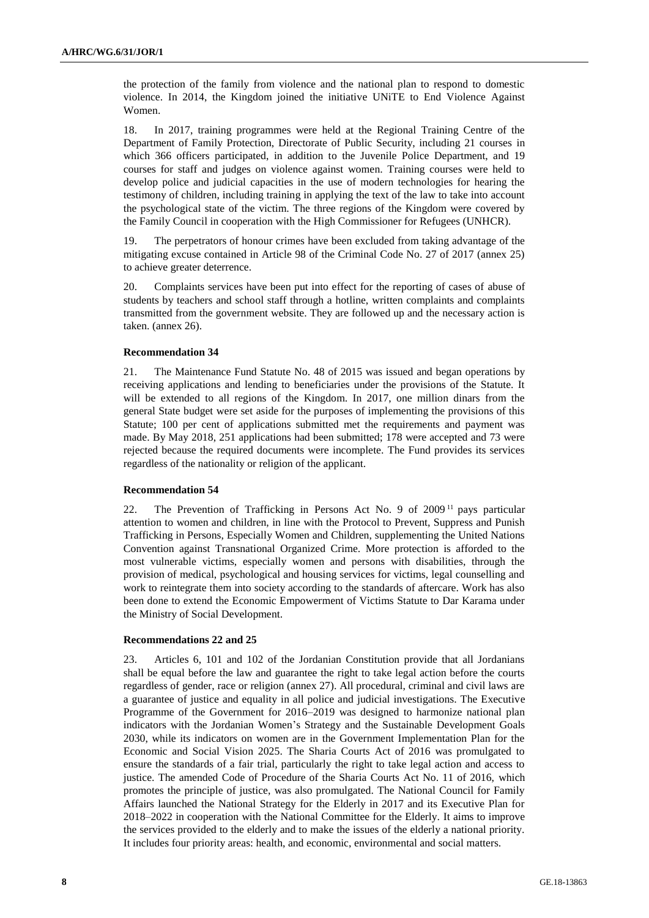the protection of the family from violence and the national plan to respond to domestic violence. In 2014, the Kingdom joined the initiative UNiTE to End Violence Against Women.

18. In 2017, training programmes were held at the Regional Training Centre of the Department of Family Protection, Directorate of Public Security, including 21 courses in which 366 officers participated, in addition to the Juvenile Police Department, and 19 courses for staff and judges on violence against women. Training courses were held to develop police and judicial capacities in the use of modern technologies for hearing the testimony of children, including training in applying the text of the law to take into account the psychological state of the victim. The three regions of the Kingdom were covered by the Family Council in cooperation with the High Commissioner for Refugees (UNHCR).

19. The perpetrators of honour crimes have been excluded from taking advantage of the mitigating excuse contained in Article 98 of the Criminal Code No. 27 of 2017 (annex 25) to achieve greater deterrence.

20. Complaints services have been put into effect for the reporting of cases of abuse of students by teachers and school staff through a hotline, written complaints and complaints transmitted from the government website. They are followed up and the necessary action is taken. (annex 26).

# **Recommendation 34**

21. The Maintenance Fund Statute No. 48 of 2015 was issued and began operations by receiving applications and lending to beneficiaries under the provisions of the Statute. It will be extended to all regions of the Kingdom. In 2017, one million dinars from the general State budget were set aside for the purposes of implementing the provisions of this Statute; 100 per cent of applications submitted met the requirements and payment was made. By May 2018, 251 applications had been submitted; 178 were accepted and 73 were rejected because the required documents were incomplete. The Fund provides its services regardless of the nationality or religion of the applicant.

### **Recommendation 54**

22. The Prevention of Trafficking in Persons Act No. 9 of 2009 <sup>11</sup> pays particular attention to women and children, in line with the Protocol to Prevent, Suppress and Punish Trafficking in Persons, Especially Women and Children, supplementing the United Nations Convention against Transnational Organized Crime. More protection is afforded to the most vulnerable victims, especially women and persons with disabilities, through the provision of medical, psychological and housing services for victims, legal counselling and work to reintegrate them into society according to the standards of aftercare. Work has also been done to extend the Economic Empowerment of Victims Statute to Dar Karama under the Ministry of Social Development.

### **Recommendations 22 and 25**

23. Articles 6, 101 and 102 of the Jordanian Constitution provide that all Jordanians shall be equal before the law and guarantee the right to take legal action before the courts regardless of gender, race or religion (annex 27). All procedural, criminal and civil laws are a guarantee of justice and equality in all police and judicial investigations. The Executive Programme of the Government for 2016–2019 was designed to harmonize national plan indicators with the Jordanian Women's Strategy and the Sustainable Development Goals 2030, while its indicators on women are in the Government Implementation Plan for the Economic and Social Vision 2025. The Sharia Courts Act of 2016 was promulgated to ensure the standards of a fair trial, particularly the right to take legal action and access to justice. The amended Code of Procedure of the Sharia Courts Act No. 11 of 2016, which promotes the principle of justice, was also promulgated. The National Council for Family Affairs launched the National Strategy for the Elderly in 2017 and its Executive Plan for 2018–2022 in cooperation with the National Committee for the Elderly. It aims to improve the services provided to the elderly and to make the issues of the elderly a national priority. It includes four priority areas: health, and economic, environmental and social matters.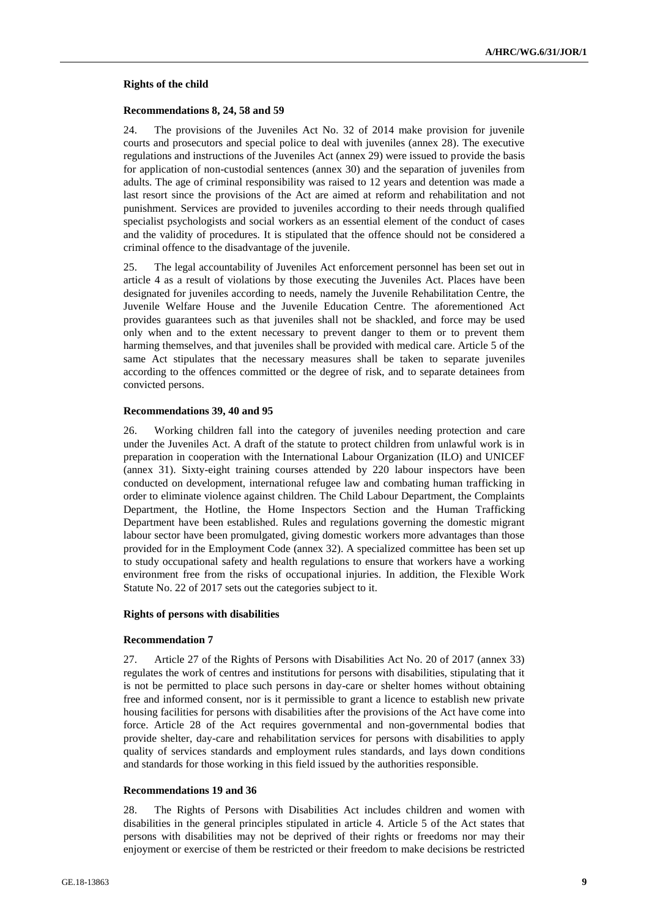#### **Rights of the child**

#### **Recommendations 8, 24, 58 and 59**

24. The provisions of the Juveniles Act No. 32 of 2014 make provision for juvenile courts and prosecutors and special police to deal with juveniles (annex 28). The executive regulations and instructions of the Juveniles Act (annex 29) were issued to provide the basis for application of non-custodial sentences (annex 30) and the separation of juveniles from adults. The age of criminal responsibility was raised to 12 years and detention was made a last resort since the provisions of the Act are aimed at reform and rehabilitation and not punishment. Services are provided to juveniles according to their needs through qualified specialist psychologists and social workers as an essential element of the conduct of cases and the validity of procedures. It is stipulated that the offence should not be considered a criminal offence to the disadvantage of the juvenile.

25. The legal accountability of Juveniles Act enforcement personnel has been set out in article 4 as a result of violations by those executing the Juveniles Act. Places have been designated for juveniles according to needs, namely the Juvenile Rehabilitation Centre, the Juvenile Welfare House and the Juvenile Education Centre. The aforementioned Act provides guarantees such as that juveniles shall not be shackled, and force may be used only when and to the extent necessary to prevent danger to them or to prevent them harming themselves, and that juveniles shall be provided with medical care. Article 5 of the same Act stipulates that the necessary measures shall be taken to separate juveniles according to the offences committed or the degree of risk, and to separate detainees from convicted persons.

#### **Recommendations 39, 40 and 95**

26. Working children fall into the category of juveniles needing protection and care under the Juveniles Act. A draft of the statute to protect children from unlawful work is in preparation in cooperation with the International Labour Organization (ILO) and UNICEF (annex 31). Sixty-eight training courses attended by 220 labour inspectors have been conducted on development, international refugee law and combating human trafficking in order to eliminate violence against children. The Child Labour Department, the Complaints Department, the Hotline, the Home Inspectors Section and the Human Trafficking Department have been established. Rules and regulations governing the domestic migrant labour sector have been promulgated, giving domestic workers more advantages than those provided for in the Employment Code (annex 32). A specialized committee has been set up to study occupational safety and health regulations to ensure that workers have a working environment free from the risks of occupational injuries. In addition, the Flexible Work Statute No. 22 of 2017 sets out the categories subject to it.

### **Rights of persons with disabilities**

#### **Recommendation 7**

27. Article 27 of the Rights of Persons with Disabilities Act No. 20 of 2017 (annex 33) regulates the work of centres and institutions for persons with disabilities, stipulating that it is not be permitted to place such persons in day-care or shelter homes without obtaining free and informed consent, nor is it permissible to grant a licence to establish new private housing facilities for persons with disabilities after the provisions of the Act have come into force. Article 28 of the Act requires governmental and non-governmental bodies that provide shelter, day-care and rehabilitation services for persons with disabilities to apply quality of services standards and employment rules standards, and lays down conditions and standards for those working in this field issued by the authorities responsible.

#### **Recommendations 19 and 36**

28. The Rights of Persons with Disabilities Act includes children and women with disabilities in the general principles stipulated in article 4. Article 5 of the Act states that persons with disabilities may not be deprived of their rights or freedoms nor may their enjoyment or exercise of them be restricted or their freedom to make decisions be restricted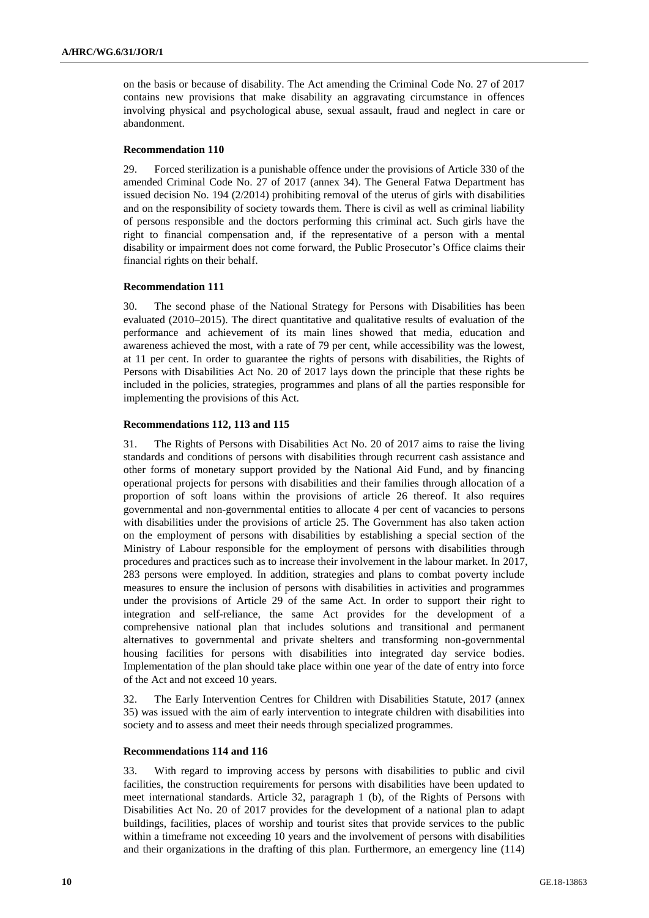on the basis or because of disability. The Act amending the Criminal Code No. 27 of 2017 contains new provisions that make disability an aggravating circumstance in offences involving physical and psychological abuse, sexual assault, fraud and neglect in care or abandonment.

#### **Recommendation 110**

29. Forced sterilization is a punishable offence under the provisions of Article 330 of the amended Criminal Code No. 27 of 2017 (annex 34). The General Fatwa Department has issued decision No. 194 (2/2014) prohibiting removal of the uterus of girls with disabilities and on the responsibility of society towards them. There is civil as well as criminal liability of persons responsible and the doctors performing this criminal act. Such girls have the right to financial compensation and, if the representative of a person with a mental disability or impairment does not come forward, the Public Prosecutor's Office claims their financial rights on their behalf.

#### **Recommendation 111**

30. The second phase of the National Strategy for Persons with Disabilities has been evaluated (2010–2015). The direct quantitative and qualitative results of evaluation of the performance and achievement of its main lines showed that media, education and awareness achieved the most, with a rate of 79 per cent, while accessibility was the lowest, at 11 per cent. In order to guarantee the rights of persons with disabilities, the Rights of Persons with Disabilities Act No. 20 of 2017 lays down the principle that these rights be included in the policies, strategies, programmes and plans of all the parties responsible for implementing the provisions of this Act.

### **Recommendations 112, 113 and 115**

31. The Rights of Persons with Disabilities Act No. 20 of 2017 aims to raise the living standards and conditions of persons with disabilities through recurrent cash assistance and other forms of monetary support provided by the National Aid Fund, and by financing operational projects for persons with disabilities and their families through allocation of a proportion of soft loans within the provisions of article 26 thereof. It also requires governmental and non-governmental entities to allocate 4 per cent of vacancies to persons with disabilities under the provisions of article 25. The Government has also taken action on the employment of persons with disabilities by establishing a special section of the Ministry of Labour responsible for the employment of persons with disabilities through procedures and practices such as to increase their involvement in the labour market. In 2017, 283 persons were employed. In addition, strategies and plans to combat poverty include measures to ensure the inclusion of persons with disabilities in activities and programmes under the provisions of Article 29 of the same Act. In order to support their right to integration and self-reliance, the same Act provides for the development of a comprehensive national plan that includes solutions and transitional and permanent alternatives to governmental and private shelters and transforming non-governmental housing facilities for persons with disabilities into integrated day service bodies. Implementation of the plan should take place within one year of the date of entry into force of the Act and not exceed 10 years.

32. The Early Intervention Centres for Children with Disabilities Statute, 2017 (annex 35) was issued with the aim of early intervention to integrate children with disabilities into society and to assess and meet their needs through specialized programmes.

### **Recommendations 114 and 116**

33. With regard to improving access by persons with disabilities to public and civil facilities, the construction requirements for persons with disabilities have been updated to meet international standards. Article 32, paragraph 1 (b), of the Rights of Persons with Disabilities Act No. 20 of 2017 provides for the development of a national plan to adapt buildings, facilities, places of worship and tourist sites that provide services to the public within a timeframe not exceeding 10 years and the involvement of persons with disabilities and their organizations in the drafting of this plan. Furthermore, an emergency line (114)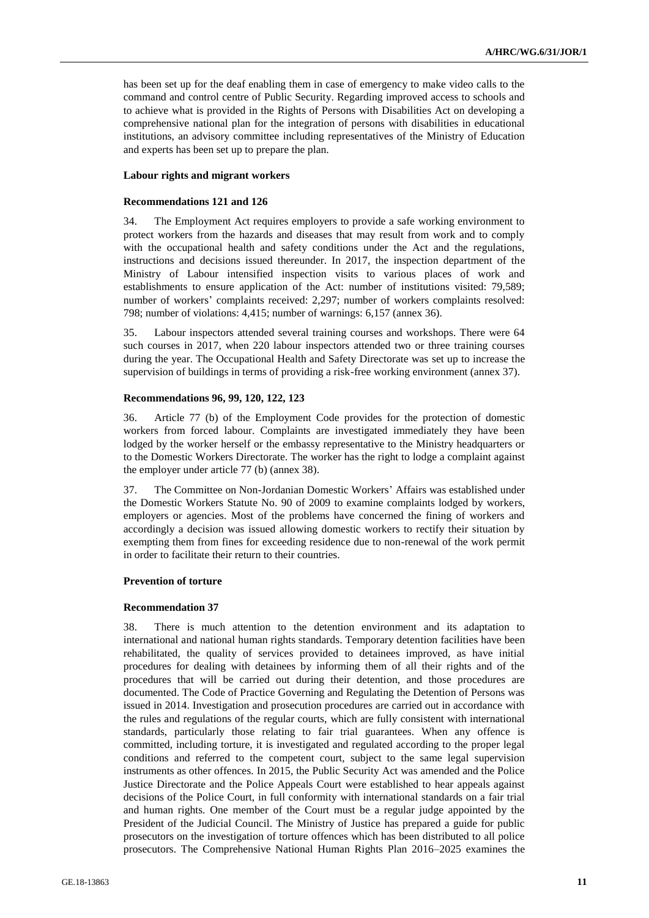has been set up for the deaf enabling them in case of emergency to make video calls to the command and control centre of Public Security. Regarding improved access to schools and to achieve what is provided in the Rights of Persons with Disabilities Act on developing a comprehensive national plan for the integration of persons with disabilities in educational institutions, an advisory committee including representatives of the Ministry of Education and experts has been set up to prepare the plan.

# **Labour rights and migrant workers**

#### **Recommendations 121 and 126**

34. The Employment Act requires employers to provide a safe working environment to protect workers from the hazards and diseases that may result from work and to comply with the occupational health and safety conditions under the Act and the regulations, instructions and decisions issued thereunder. In 2017, the inspection department of the Ministry of Labour intensified inspection visits to various places of work and establishments to ensure application of the Act: number of institutions visited: 79,589; number of workers' complaints received: 2,297; number of workers complaints resolved: 798; number of violations: 4,415; number of warnings: 6,157 (annex 36).

35. Labour inspectors attended several training courses and workshops. There were 64 such courses in 2017, when 220 labour inspectors attended two or three training courses during the year. The Occupational Health and Safety Directorate was set up to increase the supervision of buildings in terms of providing a risk-free working environment (annex 37).

#### **Recommendations 96, 99, 120, 122, 123**

36. Article 77 (b) of the Employment Code provides for the protection of domestic workers from forced labour. Complaints are investigated immediately they have been lodged by the worker herself or the embassy representative to the Ministry headquarters or to the Domestic Workers Directorate. The worker has the right to lodge a complaint against the employer under article 77 (b) (annex 38).

37. The Committee on Non-Jordanian Domestic Workers' Affairs was established under the Domestic Workers Statute No. 90 of 2009 to examine complaints lodged by workers, employers or agencies. Most of the problems have concerned the fining of workers and accordingly a decision was issued allowing domestic workers to rectify their situation by exempting them from fines for exceeding residence due to non-renewal of the work permit in order to facilitate their return to their countries.

### **Prevention of torture**

### **Recommendation 37**

38. There is much attention to the detention environment and its adaptation to international and national human rights standards. Temporary detention facilities have been rehabilitated, the quality of services provided to detainees improved, as have initial procedures for dealing with detainees by informing them of all their rights and of the procedures that will be carried out during their detention, and those procedures are documented. The Code of Practice Governing and Regulating the Detention of Persons was issued in 2014. Investigation and prosecution procedures are carried out in accordance with the rules and regulations of the regular courts, which are fully consistent with international standards, particularly those relating to fair trial guarantees. When any offence is committed, including torture, it is investigated and regulated according to the proper legal conditions and referred to the competent court, subject to the same legal supervision instruments as other offences. In 2015, the Public Security Act was amended and the Police Justice Directorate and the Police Appeals Court were established to hear appeals against decisions of the Police Court, in full conformity with international standards on a fair trial and human rights. One member of the Court must be a regular judge appointed by the President of the Judicial Council. The Ministry of Justice has prepared a guide for public prosecutors on the investigation of torture offences which has been distributed to all police prosecutors. The Comprehensive National Human Rights Plan 2016–2025 examines the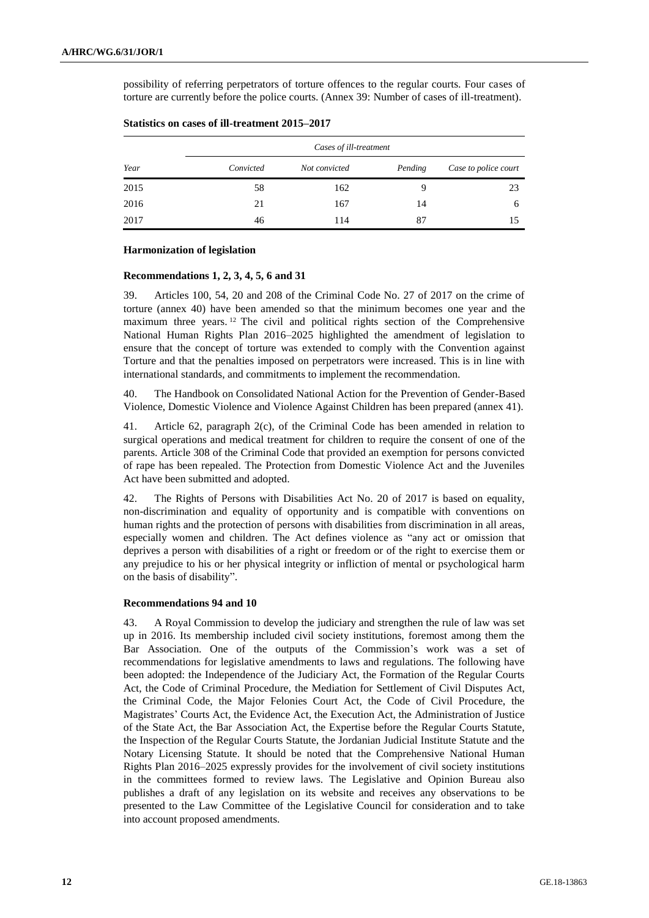possibility of referring perpetrators of torture offences to the regular courts. Four cases of torture are currently before the police courts. (Annex 39: Number of cases of ill-treatment).

|      | Cases of ill-treatment |               |         |                      |  |
|------|------------------------|---------------|---------|----------------------|--|
| Year | Convicted              | Not convicted | Pending | Case to police court |  |
| 2015 | 58                     | 162           | 9       | 23                   |  |
| 2016 | 21                     | 167           | 14      | 6                    |  |
| 2017 | 46                     | 114           | 87      | 15                   |  |

**Statistics on cases of ill-treatment 2015–2017**

#### **Harmonization of legislation**

#### **Recommendations 1, 2, 3, 4, 5, 6 and 31**

39. Articles 100, 54, 20 and 208 of the Criminal Code No. 27 of 2017 on the crime of torture (annex 40) have been amended so that the minimum becomes one year and the maximum three years. <sup>12</sup> The civil and political rights section of the Comprehensive National Human Rights Plan 2016–2025 highlighted the amendment of legislation to ensure that the concept of torture was extended to comply with the Convention against Torture and that the penalties imposed on perpetrators were increased. This is in line with international standards, and commitments to implement the recommendation.

40. The Handbook on Consolidated National Action for the Prevention of Gender-Based Violence, Domestic Violence and Violence Against Children has been prepared (annex 41).

41. Article 62, paragraph 2(c), of the Criminal Code has been amended in relation to surgical operations and medical treatment for children to require the consent of one of the parents. Article 308 of the Criminal Code that provided an exemption for persons convicted of rape has been repealed. The Protection from Domestic Violence Act and the Juveniles Act have been submitted and adopted.

42. The Rights of Persons with Disabilities Act No. 20 of 2017 is based on equality, non-discrimination and equality of opportunity and is compatible with conventions on human rights and the protection of persons with disabilities from discrimination in all areas, especially women and children. The Act defines violence as "any act or omission that deprives a person with disabilities of a right or freedom or of the right to exercise them or any prejudice to his or her physical integrity or infliction of mental or psychological harm on the basis of disability".

#### **Recommendations 94 and 10**

43. A Royal Commission to develop the judiciary and strengthen the rule of law was set up in 2016. Its membership included civil society institutions, foremost among them the Bar Association. One of the outputs of the Commission's work was a set of recommendations for legislative amendments to laws and regulations. The following have been adopted: the Independence of the Judiciary Act, the Formation of the Regular Courts Act, the Code of Criminal Procedure, the Mediation for Settlement of Civil Disputes Act, the Criminal Code, the Major Felonies Court Act, the Code of Civil Procedure, the Magistrates' Courts Act, the Evidence Act, the Execution Act, the Administration of Justice of the State Act, the Bar Association Act, the Expertise before the Regular Courts Statute, the Inspection of the Regular Courts Statute, the Jordanian Judicial Institute Statute and the Notary Licensing Statute. It should be noted that the Comprehensive National Human Rights Plan 2016–2025 expressly provides for the involvement of civil society institutions in the committees formed to review laws. The Legislative and Opinion Bureau also publishes a draft of any legislation on its website and receives any observations to be presented to the Law Committee of the Legislative Council for consideration and to take into account proposed amendments.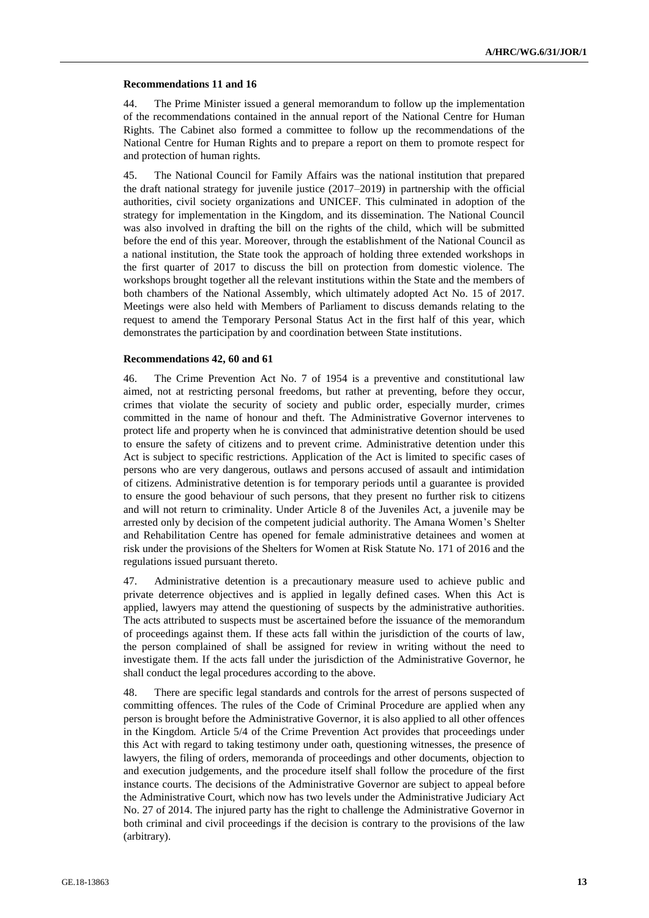#### **Recommendations 11 and 16**

44. The Prime Minister issued a general memorandum to follow up the implementation of the recommendations contained in the annual report of the National Centre for Human Rights. The Cabinet also formed a committee to follow up the recommendations of the National Centre for Human Rights and to prepare a report on them to promote respect for and protection of human rights.

45. The National Council for Family Affairs was the national institution that prepared the draft national strategy for juvenile justice (2017–2019) in partnership with the official authorities, civil society organizations and UNICEF. This culminated in adoption of the strategy for implementation in the Kingdom, and its dissemination. The National Council was also involved in drafting the bill on the rights of the child, which will be submitted before the end of this year. Moreover, through the establishment of the National Council as a national institution, the State took the approach of holding three extended workshops in the first quarter of 2017 to discuss the bill on protection from domestic violence. The workshops brought together all the relevant institutions within the State and the members of both chambers of the National Assembly, which ultimately adopted Act No. 15 of 2017. Meetings were also held with Members of Parliament to discuss demands relating to the request to amend the Temporary Personal Status Act in the first half of this year, which demonstrates the participation by and coordination between State institutions.

#### **Recommendations 42, 60 and 61**

46. The Crime Prevention Act No. 7 of 1954 is a preventive and constitutional law aimed, not at restricting personal freedoms, but rather at preventing, before they occur, crimes that violate the security of society and public order, especially murder, crimes committed in the name of honour and theft. The Administrative Governor intervenes to protect life and property when he is convinced that administrative detention should be used to ensure the safety of citizens and to prevent crime. Administrative detention under this Act is subject to specific restrictions. Application of the Act is limited to specific cases of persons who are very dangerous, outlaws and persons accused of assault and intimidation of citizens. Administrative detention is for temporary periods until a guarantee is provided to ensure the good behaviour of such persons, that they present no further risk to citizens and will not return to criminality. Under Article 8 of the Juveniles Act, a juvenile may be arrested only by decision of the competent judicial authority. The Amana Women's Shelter and Rehabilitation Centre has opened for female administrative detainees and women at risk under the provisions of the Shelters for Women at Risk Statute No. 171 of 2016 and the regulations issued pursuant thereto.

47. Administrative detention is a precautionary measure used to achieve public and private deterrence objectives and is applied in legally defined cases. When this Act is applied, lawyers may attend the questioning of suspects by the administrative authorities. The acts attributed to suspects must be ascertained before the issuance of the memorandum of proceedings against them. If these acts fall within the jurisdiction of the courts of law, the person complained of shall be assigned for review in writing without the need to investigate them. If the acts fall under the jurisdiction of the Administrative Governor, he shall conduct the legal procedures according to the above.

48. There are specific legal standards and controls for the arrest of persons suspected of committing offences. The rules of the Code of Criminal Procedure are applied when any person is brought before the Administrative Governor, it is also applied to all other offences in the Kingdom. Article 5/4 of the Crime Prevention Act provides that proceedings under this Act with regard to taking testimony under oath, questioning witnesses, the presence of lawyers, the filing of orders, memoranda of proceedings and other documents, objection to and execution judgements, and the procedure itself shall follow the procedure of the first instance courts. The decisions of the Administrative Governor are subject to appeal before the Administrative Court, which now has two levels under the Administrative Judiciary Act No. 27 of 2014. The injured party has the right to challenge the Administrative Governor in both criminal and civil proceedings if the decision is contrary to the provisions of the law (arbitrary).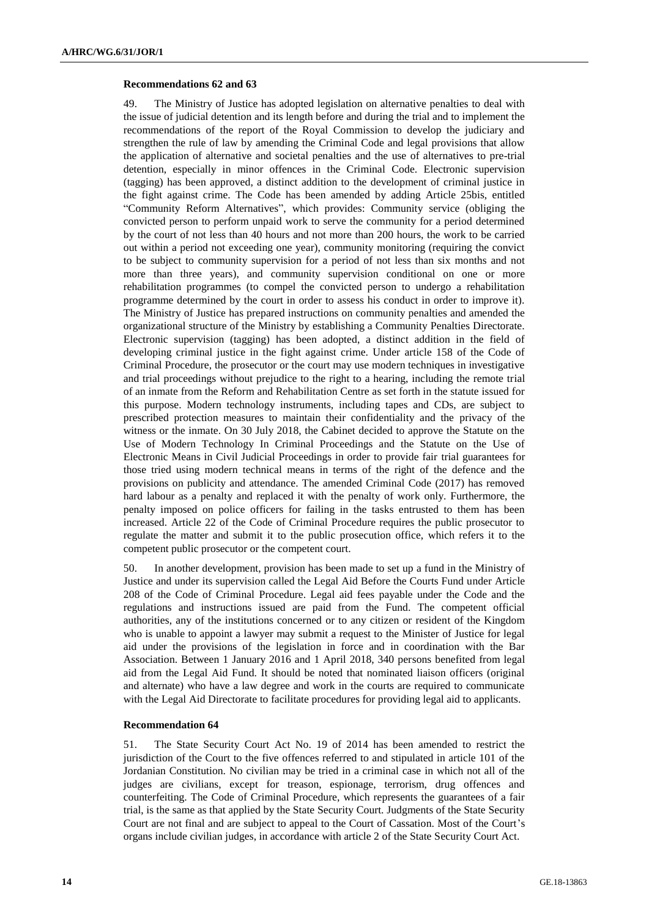### **Recommendations 62 and 63**

49. The Ministry of Justice has adopted legislation on alternative penalties to deal with the issue of judicial detention and its length before and during the trial and to implement the recommendations of the report of the Royal Commission to develop the judiciary and strengthen the rule of law by amending the Criminal Code and legal provisions that allow the application of alternative and societal penalties and the use of alternatives to pre-trial detention, especially in minor offences in the Criminal Code. Electronic supervision (tagging) has been approved, a distinct addition to the development of criminal justice in the fight against crime. The Code has been amended by adding Article 25bis, entitled "Community Reform Alternatives", which provides: Community service (obliging the convicted person to perform unpaid work to serve the community for a period determined by the court of not less than 40 hours and not more than 200 hours, the work to be carried out within a period not exceeding one year), community monitoring (requiring the convict to be subject to community supervision for a period of not less than six months and not more than three years), and community supervision conditional on one or more rehabilitation programmes (to compel the convicted person to undergo a rehabilitation programme determined by the court in order to assess his conduct in order to improve it). The Ministry of Justice has prepared instructions on community penalties and amended the organizational structure of the Ministry by establishing a Community Penalties Directorate. Electronic supervision (tagging) has been adopted, a distinct addition in the field of developing criminal justice in the fight against crime. Under article 158 of the Code of Criminal Procedure, the prosecutor or the court may use modern techniques in investigative and trial proceedings without prejudice to the right to a hearing, including the remote trial of an inmate from the Reform and Rehabilitation Centre as set forth in the statute issued for this purpose. Modern technology instruments, including tapes and CDs, are subject to prescribed protection measures to maintain their confidentiality and the privacy of the witness or the inmate. On 30 July 2018, the Cabinet decided to approve the Statute on the Use of Modern Technology In Criminal Proceedings and the Statute on the Use of Electronic Means in Civil Judicial Proceedings in order to provide fair trial guarantees for those tried using modern technical means in terms of the right of the defence and the provisions on publicity and attendance. The amended Criminal Code (2017) has removed hard labour as a penalty and replaced it with the penalty of work only. Furthermore, the penalty imposed on police officers for failing in the tasks entrusted to them has been increased. Article 22 of the Code of Criminal Procedure requires the public prosecutor to regulate the matter and submit it to the public prosecution office, which refers it to the competent public prosecutor or the competent court.

50. In another development, provision has been made to set up a fund in the Ministry of Justice and under its supervision called the Legal Aid Before the Courts Fund under Article 208 of the Code of Criminal Procedure. Legal aid fees payable under the Code and the regulations and instructions issued are paid from the Fund. The competent official authorities, any of the institutions concerned or to any citizen or resident of the Kingdom who is unable to appoint a lawyer may submit a request to the Minister of Justice for legal aid under the provisions of the legislation in force and in coordination with the Bar Association. Between 1 January 2016 and 1 April 2018, 340 persons benefited from legal aid from the Legal Aid Fund. It should be noted that nominated liaison officers (original and alternate) who have a law degree and work in the courts are required to communicate with the Legal Aid Directorate to facilitate procedures for providing legal aid to applicants.

### **Recommendation 64**

51. The State Security Court Act No. 19 of 2014 has been amended to restrict the jurisdiction of the Court to the five offences referred to and stipulated in article 101 of the Jordanian Constitution. No civilian may be tried in a criminal case in which not all of the judges are civilians, except for treason, espionage, terrorism, drug offences and counterfeiting. The Code of Criminal Procedure, which represents the guarantees of a fair trial, is the same as that applied by the State Security Court. Judgments of the State Security Court are not final and are subject to appeal to the Court of Cassation. Most of the Court's organs include civilian judges, in accordance with article 2 of the State Security Court Act.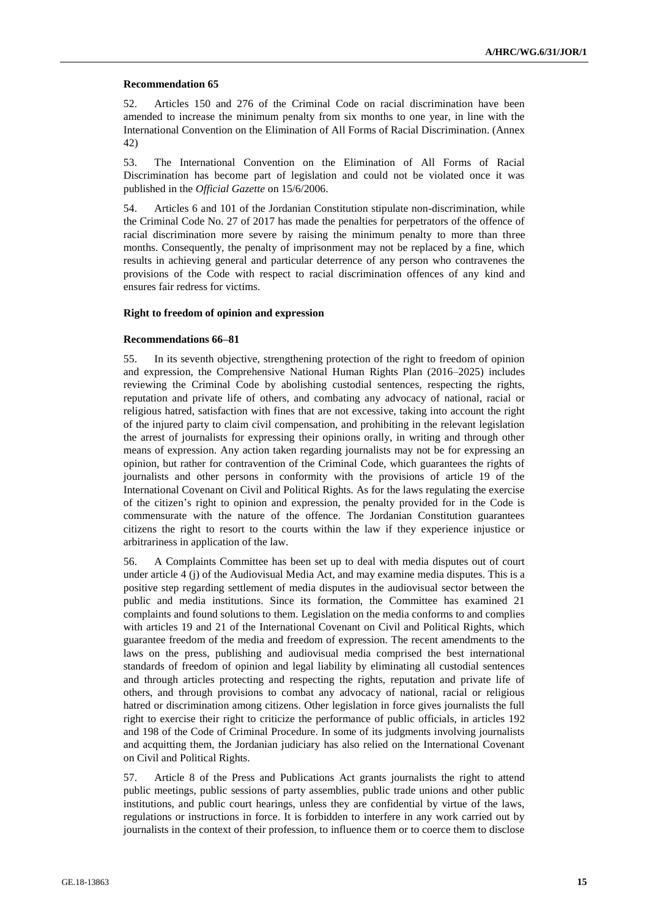#### **Recommendation 65**

52. Articles 150 and 276 of the Criminal Code on racial discrimination have been amended to increase the minimum penalty from six months to one year, in line with the International Convention on the Elimination of All Forms of Racial Discrimination. (Annex 42)

53. The International Convention on the Elimination of All Forms of Racial Discrimination has become part of legislation and could not be violated once it was published in the *Official Gazette* on 15/6/2006.

54. Articles 6 and 101 of the Jordanian Constitution stipulate non-discrimination, while the Criminal Code No. 27 of 2017 has made the penalties for perpetrators of the offence of racial discrimination more severe by raising the minimum penalty to more than three months. Consequently, the penalty of imprisonment may not be replaced by a fine, which results in achieving general and particular deterrence of any person who contravenes the provisions of the Code with respect to racial discrimination offences of any kind and ensures fair redress for victims.

#### **Right to freedom of opinion and expression**

#### **Recommendations 66–81**

55. In its seventh objective, strengthening protection of the right to freedom of opinion and expression, the Comprehensive National Human Rights Plan (2016–2025) includes reviewing the Criminal Code by abolishing custodial sentences, respecting the rights, reputation and private life of others, and combating any advocacy of national, racial or religious hatred, satisfaction with fines that are not excessive, taking into account the right of the injured party to claim civil compensation, and prohibiting in the relevant legislation the arrest of journalists for expressing their opinions orally, in writing and through other means of expression. Any action taken regarding journalists may not be for expressing an opinion, but rather for contravention of the Criminal Code, which guarantees the rights of journalists and other persons in conformity with the provisions of article 19 of the International Covenant on Civil and Political Rights. As for the laws regulating the exercise of the citizen's right to opinion and expression, the penalty provided for in the Code is commensurate with the nature of the offence. The Jordanian Constitution guarantees citizens the right to resort to the courts within the law if they experience injustice or arbitrariness in application of the law.

56. A Complaints Committee has been set up to deal with media disputes out of court under article 4 (j) of the Audiovisual Media Act, and may examine media disputes. This is a positive step regarding settlement of media disputes in the audiovisual sector between the public and media institutions. Since its formation, the Committee has examined 21 complaints and found solutions to them. Legislation on the media conforms to and complies with articles 19 and 21 of the International Covenant on Civil and Political Rights, which guarantee freedom of the media and freedom of expression. The recent amendments to the laws on the press, publishing and audiovisual media comprised the best international standards of freedom of opinion and legal liability by eliminating all custodial sentences and through articles protecting and respecting the rights, reputation and private life of others, and through provisions to combat any advocacy of national, racial or religious hatred or discrimination among citizens. Other legislation in force gives journalists the full right to exercise their right to criticize the performance of public officials, in articles 192 and 198 of the Code of Criminal Procedure. In some of its judgments involving journalists and acquitting them, the Jordanian judiciary has also relied on the International Covenant on Civil and Political Rights.

57. Article 8 of the Press and Publications Act grants journalists the right to attend public meetings, public sessions of party assemblies, public trade unions and other public institutions, and public court hearings, unless they are confidential by virtue of the laws, regulations or instructions in force. It is forbidden to interfere in any work carried out by journalists in the context of their profession, to influence them or to coerce them to disclose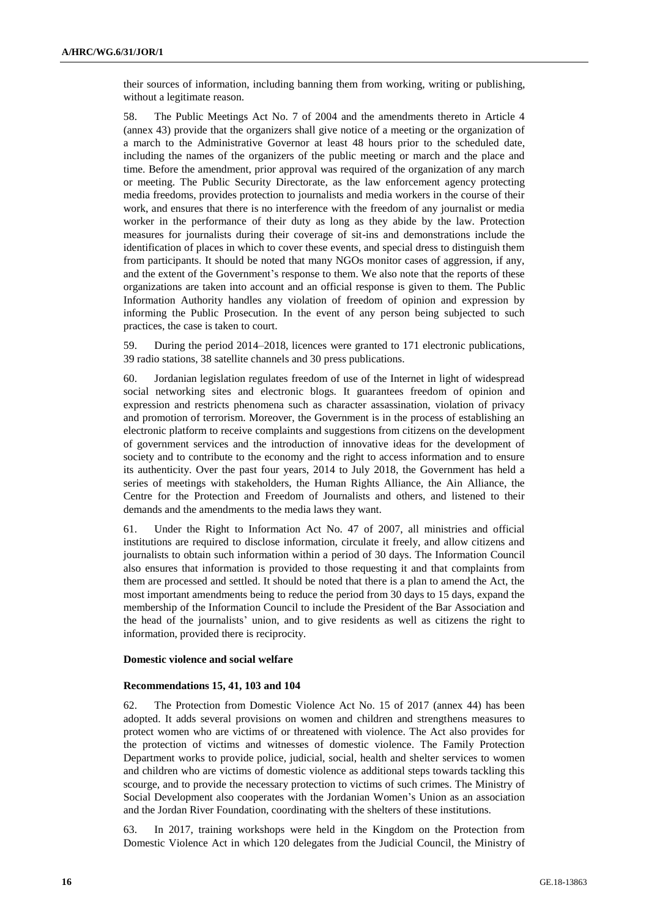their sources of information, including banning them from working, writing or publishing, without a legitimate reason.

58. The Public Meetings Act No. 7 of 2004 and the amendments thereto in Article 4 (annex 43) provide that the organizers shall give notice of a meeting or the organization of a march to the Administrative Governor at least 48 hours prior to the scheduled date, including the names of the organizers of the public meeting or march and the place and time. Before the amendment, prior approval was required of the organization of any march or meeting. The Public Security Directorate, as the law enforcement agency protecting media freedoms, provides protection to journalists and media workers in the course of their work, and ensures that there is no interference with the freedom of any journalist or media worker in the performance of their duty as long as they abide by the law. Protection measures for journalists during their coverage of sit-ins and demonstrations include the identification of places in which to cover these events, and special dress to distinguish them from participants. It should be noted that many NGOs monitor cases of aggression, if any, and the extent of the Government's response to them. We also note that the reports of these organizations are taken into account and an official response is given to them. The Public Information Authority handles any violation of freedom of opinion and expression by informing the Public Prosecution. In the event of any person being subjected to such practices, the case is taken to court.

59. During the period 2014–2018, licences were granted to 171 electronic publications, 39 radio stations, 38 satellite channels and 30 press publications.

60. Jordanian legislation regulates freedom of use of the Internet in light of widespread social networking sites and electronic blogs. It guarantees freedom of opinion and expression and restricts phenomena such as character assassination, violation of privacy and promotion of terrorism. Moreover, the Government is in the process of establishing an electronic platform to receive complaints and suggestions from citizens on the development of government services and the introduction of innovative ideas for the development of society and to contribute to the economy and the right to access information and to ensure its authenticity. Over the past four years, 2014 to July 2018, the Government has held a series of meetings with stakeholders, the Human Rights Alliance, the Ain Alliance, the Centre for the Protection and Freedom of Journalists and others, and listened to their demands and the amendments to the media laws they want.

61. Under the Right to Information Act No. 47 of 2007, all ministries and official institutions are required to disclose information, circulate it freely, and allow citizens and journalists to obtain such information within a period of 30 days. The Information Council also ensures that information is provided to those requesting it and that complaints from them are processed and settled. It should be noted that there is a plan to amend the Act, the most important amendments being to reduce the period from 30 days to 15 days, expand the membership of the Information Council to include the President of the Bar Association and the head of the journalists' union, and to give residents as well as citizens the right to information, provided there is reciprocity.

#### **Domestic violence and social welfare**

#### **Recommendations 15, 41, 103 and 104**

62. The Protection from Domestic Violence Act No. 15 of 2017 (annex 44) has been adopted. It adds several provisions on women and children and strengthens measures to protect women who are victims of or threatened with violence. The Act also provides for the protection of victims and witnesses of domestic violence. The Family Protection Department works to provide police, judicial, social, health and shelter services to women and children who are victims of domestic violence as additional steps towards tackling this scourge, and to provide the necessary protection to victims of such crimes. The Ministry of Social Development also cooperates with the Jordanian Women's Union as an association and the Jordan River Foundation, coordinating with the shelters of these institutions.

63. In 2017, training workshops were held in the Kingdom on the Protection from Domestic Violence Act in which 120 delegates from the Judicial Council, the Ministry of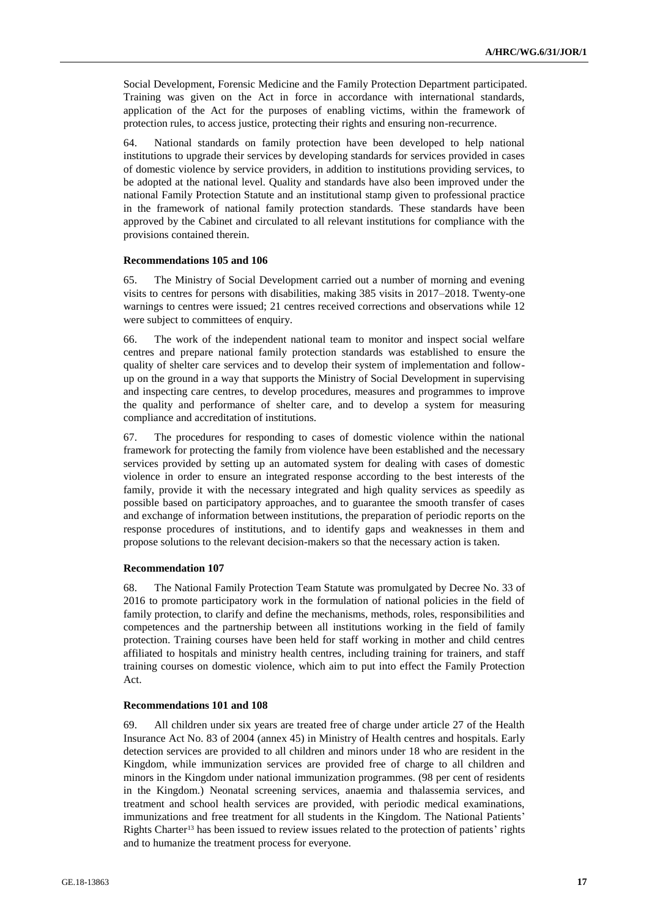Social Development, Forensic Medicine and the Family Protection Department participated. Training was given on the Act in force in accordance with international standards, application of the Act for the purposes of enabling victims, within the framework of protection rules, to access justice, protecting their rights and ensuring non-recurrence.

64. National standards on family protection have been developed to help national institutions to upgrade their services by developing standards for services provided in cases of domestic violence by service providers, in addition to institutions providing services, to be adopted at the national level. Quality and standards have also been improved under the national Family Protection Statute and an institutional stamp given to professional practice in the framework of national family protection standards. These standards have been approved by the Cabinet and circulated to all relevant institutions for compliance with the provisions contained therein.

#### **Recommendations 105 and 106**

65. The Ministry of Social Development carried out a number of morning and evening visits to centres for persons with disabilities, making 385 visits in 2017–2018. Twenty-one warnings to centres were issued; 21 centres received corrections and observations while 12 were subject to committees of enquiry.

66. The work of the independent national team to monitor and inspect social welfare centres and prepare national family protection standards was established to ensure the quality of shelter care services and to develop their system of implementation and followup on the ground in a way that supports the Ministry of Social Development in supervising and inspecting care centres, to develop procedures, measures and programmes to improve the quality and performance of shelter care, and to develop a system for measuring compliance and accreditation of institutions.

67. The procedures for responding to cases of domestic violence within the national framework for protecting the family from violence have been established and the necessary services provided by setting up an automated system for dealing with cases of domestic violence in order to ensure an integrated response according to the best interests of the family, provide it with the necessary integrated and high quality services as speedily as possible based on participatory approaches, and to guarantee the smooth transfer of cases and exchange of information between institutions, the preparation of periodic reports on the response procedures of institutions, and to identify gaps and weaknesses in them and propose solutions to the relevant decision-makers so that the necessary action is taken.

#### **Recommendation 107**

68. The National Family Protection Team Statute was promulgated by Decree No. 33 of 2016 to promote participatory work in the formulation of national policies in the field of family protection, to clarify and define the mechanisms, methods, roles, responsibilities and competences and the partnership between all institutions working in the field of family protection. Training courses have been held for staff working in mother and child centres affiliated to hospitals and ministry health centres, including training for trainers, and staff training courses on domestic violence, which aim to put into effect the Family Protection Act.

#### **Recommendations 101 and 108**

69. All children under six years are treated free of charge under article 27 of the Health Insurance Act No. 83 of 2004 (annex 45) in Ministry of Health centres and hospitals. Early detection services are provided to all children and minors under 18 who are resident in the Kingdom, while immunization services are provided free of charge to all children and minors in the Kingdom under national immunization programmes. (98 per cent of residents in the Kingdom.) Neonatal screening services, anaemia and thalassemia services, and treatment and school health services are provided, with periodic medical examinations, immunizations and free treatment for all students in the Kingdom. The National Patients' Rights Charter<sup>13</sup> has been issued to review issues related to the protection of patients' rights and to humanize the treatment process for everyone.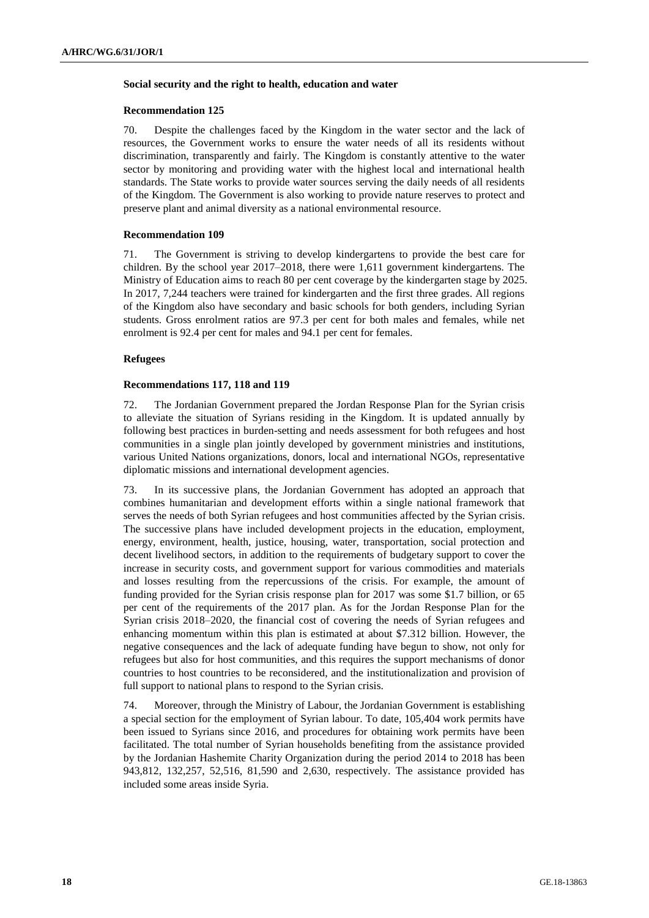#### **Social security and the right to health, education and water**

#### **Recommendation 125**

70. Despite the challenges faced by the Kingdom in the water sector and the lack of resources, the Government works to ensure the water needs of all its residents without discrimination, transparently and fairly. The Kingdom is constantly attentive to the water sector by monitoring and providing water with the highest local and international health standards. The State works to provide water sources serving the daily needs of all residents of the Kingdom. The Government is also working to provide nature reserves to protect and preserve plant and animal diversity as a national environmental resource.

### **Recommendation 109**

71. The Government is striving to develop kindergartens to provide the best care for children. By the school year 2017–2018, there were 1,611 government kindergartens. The Ministry of Education aims to reach 80 per cent coverage by the kindergarten stage by 2025. In 2017, 7,244 teachers were trained for kindergarten and the first three grades. All regions of the Kingdom also have secondary and basic schools for both genders, including Syrian students. Gross enrolment ratios are 97.3 per cent for both males and females, while net enrolment is 92.4 per cent for males and 94.1 per cent for females.

#### **Refugees**

#### **Recommendations 117, 118 and 119**

72. The Jordanian Government prepared the Jordan Response Plan for the Syrian crisis to alleviate the situation of Syrians residing in the Kingdom. It is updated annually by following best practices in burden-setting and needs assessment for both refugees and host communities in a single plan jointly developed by government ministries and institutions, various United Nations organizations, donors, local and international NGOs, representative diplomatic missions and international development agencies.

73. In its successive plans, the Jordanian Government has adopted an approach that combines humanitarian and development efforts within a single national framework that serves the needs of both Syrian refugees and host communities affected by the Syrian crisis. The successive plans have included development projects in the education, employment, energy, environment, health, justice, housing, water, transportation, social protection and decent livelihood sectors, in addition to the requirements of budgetary support to cover the increase in security costs, and government support for various commodities and materials and losses resulting from the repercussions of the crisis. For example, the amount of funding provided for the Syrian crisis response plan for 2017 was some \$1.7 billion, or 65 per cent of the requirements of the 2017 plan. As for the Jordan Response Plan for the Syrian crisis 2018–2020, the financial cost of covering the needs of Syrian refugees and enhancing momentum within this plan is estimated at about \$7.312 billion. However, the negative consequences and the lack of adequate funding have begun to show, not only for refugees but also for host communities, and this requires the support mechanisms of donor countries to host countries to be reconsidered, and the institutionalization and provision of full support to national plans to respond to the Syrian crisis.

74. Moreover, through the Ministry of Labour, the Jordanian Government is establishing a special section for the employment of Syrian labour. To date, 105,404 work permits have been issued to Syrians since 2016, and procedures for obtaining work permits have been facilitated. The total number of Syrian households benefiting from the assistance provided by the Jordanian Hashemite Charity Organization during the period 2014 to 2018 has been 943,812, 132,257, 52,516, 81,590 and 2,630, respectively. The assistance provided has included some areas inside Syria.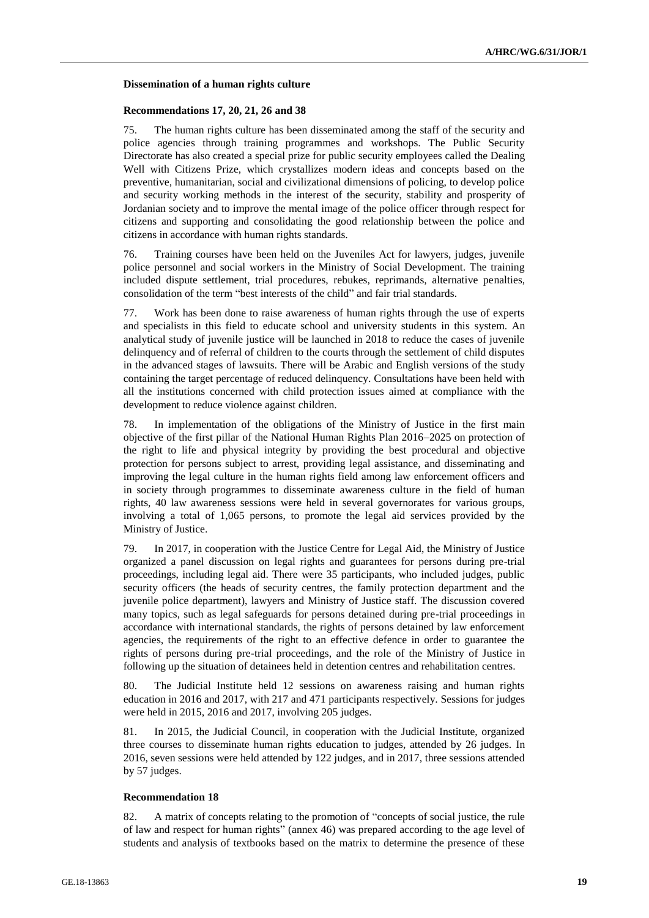#### **Dissemination of a human rights culture**

#### **Recommendations 17, 20, 21, 26 and 38**

75. The human rights culture has been disseminated among the staff of the security and police agencies through training programmes and workshops. The Public Security Directorate has also created a special prize for public security employees called the Dealing Well with Citizens Prize, which crystallizes modern ideas and concepts based on the preventive, humanitarian, social and civilizational dimensions of policing, to develop police and security working methods in the interest of the security, stability and prosperity of Jordanian society and to improve the mental image of the police officer through respect for citizens and supporting and consolidating the good relationship between the police and citizens in accordance with human rights standards.

76. Training courses have been held on the Juveniles Act for lawyers, judges, juvenile police personnel and social workers in the Ministry of Social Development. The training included dispute settlement, trial procedures, rebukes, reprimands, alternative penalties, consolidation of the term "best interests of the child" and fair trial standards.

77. Work has been done to raise awareness of human rights through the use of experts and specialists in this field to educate school and university students in this system. An analytical study of juvenile justice will be launched in 2018 to reduce the cases of juvenile delinquency and of referral of children to the courts through the settlement of child disputes in the advanced stages of lawsuits. There will be Arabic and English versions of the study containing the target percentage of reduced delinquency. Consultations have been held with all the institutions concerned with child protection issues aimed at compliance with the development to reduce violence against children.

78. In implementation of the obligations of the Ministry of Justice in the first main objective of the first pillar of the National Human Rights Plan 2016–2025 on protection of the right to life and physical integrity by providing the best procedural and objective protection for persons subject to arrest, providing legal assistance, and disseminating and improving the legal culture in the human rights field among law enforcement officers and in society through programmes to disseminate awareness culture in the field of human rights, 40 law awareness sessions were held in several governorates for various groups, involving a total of 1,065 persons, to promote the legal aid services provided by the Ministry of Justice.

79. In 2017, in cooperation with the Justice Centre for Legal Aid, the Ministry of Justice organized a panel discussion on legal rights and guarantees for persons during pre-trial proceedings, including legal aid. There were 35 participants, who included judges, public security officers (the heads of security centres, the family protection department and the juvenile police department), lawyers and Ministry of Justice staff. The discussion covered many topics, such as legal safeguards for persons detained during pre-trial proceedings in accordance with international standards, the rights of persons detained by law enforcement agencies, the requirements of the right to an effective defence in order to guarantee the rights of persons during pre-trial proceedings, and the role of the Ministry of Justice in following up the situation of detainees held in detention centres and rehabilitation centres.

80. The Judicial Institute held 12 sessions on awareness raising and human rights education in 2016 and 2017, with 217 and 471 participants respectively. Sessions for judges were held in 2015, 2016 and 2017, involving 205 judges.

81. In 2015, the Judicial Council, in cooperation with the Judicial Institute, organized three courses to disseminate human rights education to judges, attended by 26 judges. In 2016, seven sessions were held attended by 122 judges, and in 2017, three sessions attended by 57 judges.

### **Recommendation 18**

82. A matrix of concepts relating to the promotion of "concepts of social justice, the rule of law and respect for human rights" (annex 46) was prepared according to the age level of students and analysis of textbooks based on the matrix to determine the presence of these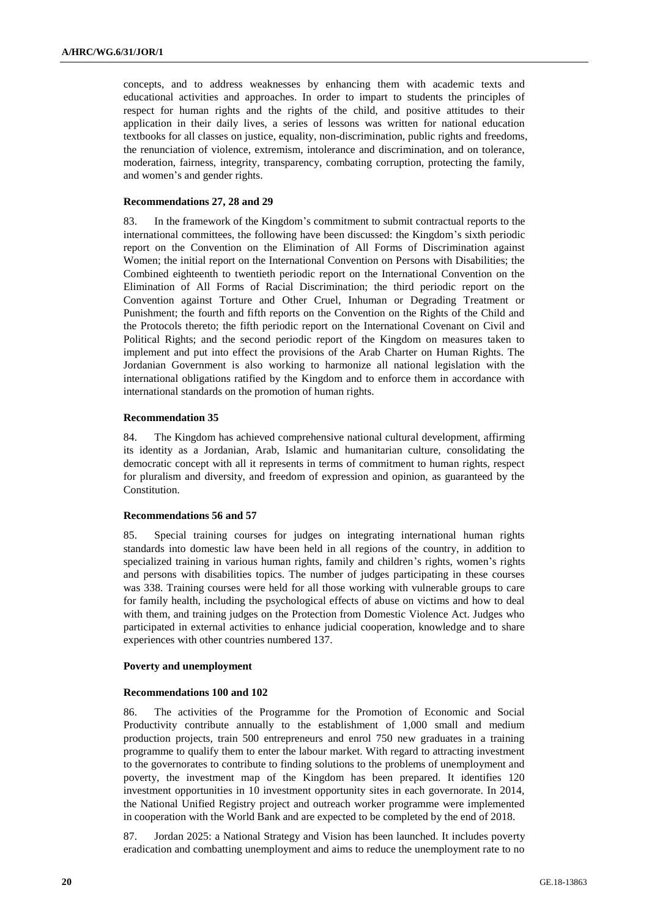concepts, and to address weaknesses by enhancing them with academic texts and educational activities and approaches. In order to impart to students the principles of respect for human rights and the rights of the child, and positive attitudes to their application in their daily lives, a series of lessons was written for national education textbooks for all classes on justice, equality, non-discrimination, public rights and freedoms, the renunciation of violence, extremism, intolerance and discrimination, and on tolerance, moderation, fairness, integrity, transparency, combating corruption, protecting the family, and women's and gender rights.

### **Recommendations 27, 28 and 29**

83. In the framework of the Kingdom's commitment to submit contractual reports to the international committees, the following have been discussed: the Kingdom's sixth periodic report on the Convention on the Elimination of All Forms of Discrimination against Women; the initial report on the International Convention on Persons with Disabilities; the Combined eighteenth to twentieth periodic report on the International Convention on the Elimination of All Forms of Racial Discrimination; the third periodic report on the Convention against Torture and Other Cruel, Inhuman or Degrading Treatment or Punishment; the fourth and fifth reports on the Convention on the Rights of the Child and the Protocols thereto; the fifth periodic report on the International Covenant on Civil and Political Rights; and the second periodic report of the Kingdom on measures taken to implement and put into effect the provisions of the Arab Charter on Human Rights. The Jordanian Government is also working to harmonize all national legislation with the international obligations ratified by the Kingdom and to enforce them in accordance with international standards on the promotion of human rights.

# **Recommendation 35**

84. The Kingdom has achieved comprehensive national cultural development, affirming its identity as a Jordanian, Arab, Islamic and humanitarian culture, consolidating the democratic concept with all it represents in terms of commitment to human rights, respect for pluralism and diversity, and freedom of expression and opinion, as guaranteed by the Constitution.

# **Recommendations 56 and 57**

85. Special training courses for judges on integrating international human rights standards into domestic law have been held in all regions of the country, in addition to specialized training in various human rights, family and children's rights, women's rights and persons with disabilities topics. The number of judges participating in these courses was 338. Training courses were held for all those working with vulnerable groups to care for family health, including the psychological effects of abuse on victims and how to deal with them, and training judges on the Protection from Domestic Violence Act. Judges who participated in external activities to enhance judicial cooperation, knowledge and to share experiences with other countries numbered 137.

### **Poverty and unemployment**

### **Recommendations 100 and 102**

86. The activities of the Programme for the Promotion of Economic and Social Productivity contribute annually to the establishment of 1,000 small and medium production projects, train 500 entrepreneurs and enrol 750 new graduates in a training programme to qualify them to enter the labour market. With regard to attracting investment to the governorates to contribute to finding solutions to the problems of unemployment and poverty, the investment map of the Kingdom has been prepared. It identifies 120 investment opportunities in 10 investment opportunity sites in each governorate. In 2014, the National Unified Registry project and outreach worker programme were implemented in cooperation with the World Bank and are expected to be completed by the end of 2018.

87. Jordan 2025: a National Strategy and Vision has been launched. It includes poverty eradication and combatting unemployment and aims to reduce the unemployment rate to no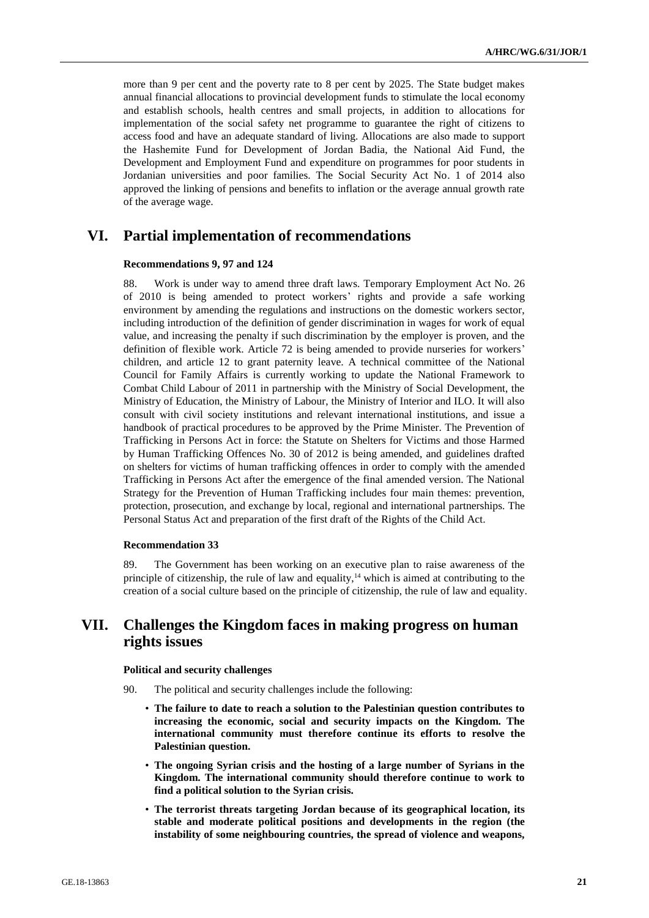more than 9 per cent and the poverty rate to 8 per cent by 2025. The State budget makes annual financial allocations to provincial development funds to stimulate the local economy and establish schools, health centres and small projects, in addition to allocations for implementation of the social safety net programme to guarantee the right of citizens to access food and have an adequate standard of living. Allocations are also made to support the Hashemite Fund for Development of Jordan Badia, the National Aid Fund, the Development and Employment Fund and expenditure on programmes for poor students in Jordanian universities and poor families. The Social Security Act No. 1 of 2014 also approved the linking of pensions and benefits to inflation or the average annual growth rate of the average wage.

# **VI. Partial implementation of recommendations**

# **Recommendations 9, 97 and 124**

88. Work is under way to amend three draft laws. Temporary Employment Act No. 26 of 2010 is being amended to protect workers' rights and provide a safe working environment by amending the regulations and instructions on the domestic workers sector, including introduction of the definition of gender discrimination in wages for work of equal value, and increasing the penalty if such discrimination by the employer is proven, and the definition of flexible work. Article 72 is being amended to provide nurseries for workers' children, and article 12 to grant paternity leave. A technical committee of the National Council for Family Affairs is currently working to update the National Framework to Combat Child Labour of 2011 in partnership with the Ministry of Social Development, the Ministry of Education, the Ministry of Labour, the Ministry of Interior and ILO. It will also consult with civil society institutions and relevant international institutions, and issue a handbook of practical procedures to be approved by the Prime Minister. The Prevention of Trafficking in Persons Act in force: the Statute on Shelters for Victims and those Harmed by Human Trafficking Offences No. 30 of 2012 is being amended, and guidelines drafted on shelters for victims of human trafficking offences in order to comply with the amended Trafficking in Persons Act after the emergence of the final amended version. The National Strategy for the Prevention of Human Trafficking includes four main themes: prevention, protection, prosecution, and exchange by local, regional and international partnerships. The Personal Status Act and preparation of the first draft of the Rights of the Child Act.

### **Recommendation 33**

89. The Government has been working on an executive plan to raise awareness of the principle of citizenship, the rule of law and equality, $<sup>14</sup>$  which is aimed at contributing to the</sup> creation of a social culture based on the principle of citizenship, the rule of law and equality.

# **VII. Challenges the Kingdom faces in making progress on human rights issues**

#### **Political and security challenges**

- 90. The political and security challenges include the following:
	- **The failure to date to reach a solution to the Palestinian question contributes to increasing the economic, social and security impacts on the Kingdom. The international community must therefore continue its efforts to resolve the Palestinian question.**
	- **The ongoing Syrian crisis and the hosting of a large number of Syrians in the Kingdom. The international community should therefore continue to work to find a political solution to the Syrian crisis.**
	- **The terrorist threats targeting Jordan because of its geographical location, its stable and moderate political positions and developments in the region (the instability of some neighbouring countries, the spread of violence and weapons,**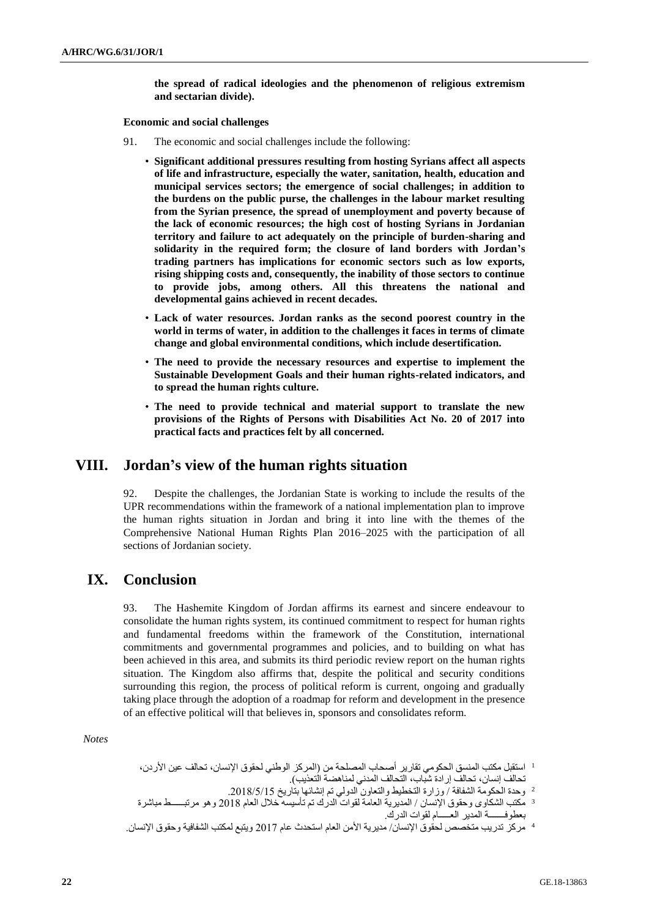**the spread of radical ideologies and the phenomenon of religious extremism and sectarian divide).**

**Economic and social challenges**

- 91. The economic and social challenges include the following:
	- **Significant additional pressures resulting from hosting Syrians affect all aspects of life and infrastructure, especially the water, sanitation, health, education and municipal services sectors; the emergence of social challenges; in addition to the burdens on the public purse, the challenges in the labour market resulting from the Syrian presence, the spread of unemployment and poverty because of the lack of economic resources; the high cost of hosting Syrians in Jordanian territory and failure to act adequately on the principle of burden-sharing and solidarity in the required form; the closure of land borders with Jordan's trading partners has implications for economic sectors such as low exports, rising shipping costs and, consequently, the inability of those sectors to continue to provide jobs, among others. All this threatens the national and developmental gains achieved in recent decades.**
	- **Lack of water resources. Jordan ranks as the second poorest country in the world in terms of water, in addition to the challenges it faces in terms of climate change and global environmental conditions, which include desertification.**
	- **The need to provide the necessary resources and expertise to implement the Sustainable Development Goals and their human rights-related indicators, and to spread the human rights culture.**
	- **The need to provide technical and material support to translate the new provisions of the Rights of Persons with Disabilities Act No. 20 of 2017 into practical facts and practices felt by all concerned.**

# **VIII. Jordan's view of the human rights situation**

92. Despite the challenges, the Jordanian State is working to include the results of the UPR recommendations within the framework of a national implementation plan to improve the human rights situation in Jordan and bring it into line with the themes of the Comprehensive National Human Rights Plan 2016–2025 with the participation of all sections of Jordanian society.

# **IX. Conclusion**

93. The Hashemite Kingdom of Jordan affirms its earnest and sincere endeavour to consolidate the human rights system, its continued commitment to respect for human rights and fundamental freedoms within the framework of the Constitution, international commitments and governmental programmes and policies, and to building on what has been achieved in this area, and submits its third periodic review report on the human rights situation. The Kingdom also affirms that, despite the political and security conditions surrounding this region, the process of political reform is current, ongoing and gradually taking place through the adoption of a roadmap for reform and development in the presence of an effective political will that believes in, sponsors and consolidates reform.

*Notes*

- <sup>1</sup> استقبل مكتب المنسق الحكومي تقارير أصحاب المصلحة من (المركز الوطني لحقوق الإنسان، تحالف عين الأردن، تحالف إنسان، تحالف إرادة شباب، التحالف المدني لمناهضة التعذيب).
- <sup>2</sup> وحدة الحكومة الشفافة / وزارة التخطيط والتعاون الدولي تم إنشائها بتاريخ 2018/5/15.<br><sup>3</sup> مكتب الشكاوى وحقوق الإنسان / المديرية العامة لقوات الدرك تم تأسيسه خلال العام 2018 وهو مرتبــــــط مباشرة
- بعطوفـــــــة المدير العـــــام لقوات الدرك.

<sup>4</sup> مركز تدريب متخصص لحقوق اإلنسان/ مديرية األمن العام استحدث عام 2017 ويتبع لمكتب الشفافية وحقوق اإلنسان.